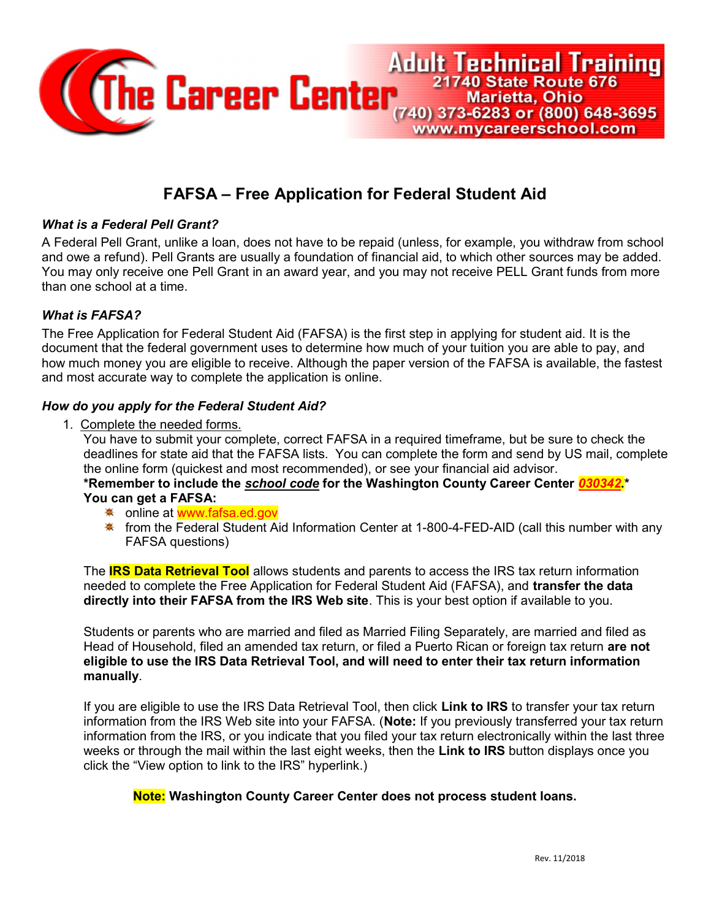

# FAFSA – Free Application for Federal Student Aid

## What is a Federal Pell Grant?

A Federal Pell Grant, unlike a loan, does not have to be repaid (unless, for example, you withdraw from school and owe a refund). Pell Grants are usually a foundation of financial aid, to which other sources may be added. You may only receive one Pell Grant in an award year, and you may not receive PELL Grant funds from more than one school at a time.

#### What is FAFSA?

The Free Application for Federal Student Aid (FAFSA) is the first step in applying for student aid. It is the document that the federal government uses to determine how much of your tuition you are able to pay, and how much money you are eligible to receive. Although the paper version of the FAFSA is available, the fastest and most accurate way to complete the application is online.

#### How do you apply for the Federal Student Aid?

1. Complete the needed forms.

You have to submit your complete, correct FAFSA in a required timeframe, but be sure to check the deadlines for state aid that the FAFSA lists. You can complete the form and send by US mail, complete the online form (quickest and most recommended), or see your financial aid advisor.

\*Remember to include the sc*hool code* for the Washington County Career Center 030342.\* You can get a FAFSA:

- <del>☀</del> online at www.fafsa.ed.gov
- $*$  from the Federal Student Aid Information Center at 1-800-4-FED-AID (call this number with any FAFSA questions)

The **IRS Data Retrieval Tool** allows students and parents to access the IRS tax return information needed to complete the Free Application for Federal Student Aid (FAFSA), and **transfer the data** directly into their FAFSA from the IRS Web site. This is your best option if available to you.

Students or parents who are married and filed as Married Filing Separately, are married and filed as Head of Household, filed an amended tax return, or filed a Puerto Rican or foreign tax return are not eligible to use the IRS Data Retrieval Tool, and will need to enter their tax return information manually.

If you are eligible to use the IRS Data Retrieval Tool, then click Link to IRS to transfer your tax return information from the IRS Web site into your FAFSA. (Note: If you previously transferred your tax return information from the IRS, or you indicate that you filed your tax return electronically within the last three weeks or through the mail within the last eight weeks, then the Link to IRS button displays once you click the "View option to link to the IRS" hyperlink.)

## Note: Washington County Career Center does not process student loans.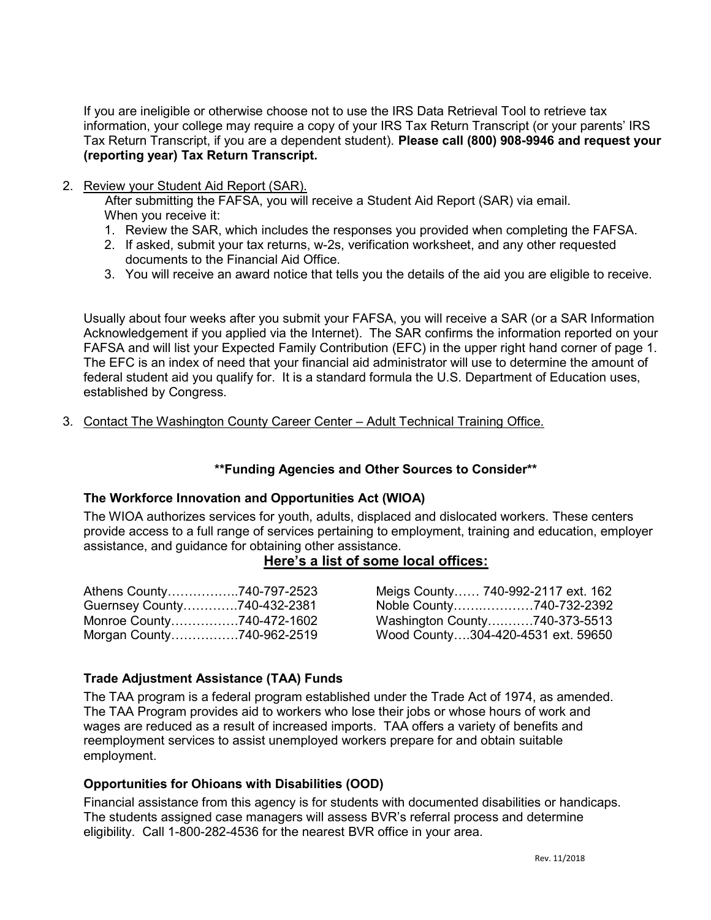If you are ineligible or otherwise choose not to use the IRS Data Retrieval Tool to retrieve tax information, your college may require a copy of your IRS Tax Return Transcript (or your parents' IRS Tax Return Transcript, if you are a dependent student). Please call (800) 908-9946 and request your (reporting year) Tax Return Transcript.

2. Review your Student Aid Report (SAR).

 After submitting the FAFSA, you will receive a Student Aid Report (SAR) via email. When you receive it:

- 1. Review the SAR, which includes the responses you provided when completing the FAFSA.
- 2. If asked, submit your tax returns, w-2s, verification worksheet, and any other requested documents to the Financial Aid Office.
- 3. You will receive an award notice that tells you the details of the aid you are eligible to receive.

Usually about four weeks after you submit your FAFSA, you will receive a SAR (or a SAR Information Acknowledgement if you applied via the Internet). The SAR confirms the information reported on your FAFSA and will list your Expected Family Contribution (EFC) in the upper right hand corner of page 1. The EFC is an index of need that your financial aid administrator will use to determine the amount of federal student aid you qualify for. It is a standard formula the U.S. Department of Education uses, established by Congress.

3. Contact The Washington County Career Center – Adult Technical Training Office.

## \*\*Funding Agencies and Other Sources to Consider\*\*

## The Workforce Innovation and Opportunities Act (WIOA)

The WIOA authorizes services for youth, adults, displaced and dislocated workers. These centers provide access to a full range of services pertaining to employment, training and education, employer assistance, and guidance for obtaining other assistance.

## Here's a list of some local offices:

| Athens County740-797-2523   |  |
|-----------------------------|--|
| Guernsey County740-432-2381 |  |
| Monroe County740-472-1602   |  |
| Morgan County740-962-2519   |  |

Meigs County…… 740-992-2117 ext. 162 Noble County…….…………740-732-2392 Washington County….…….740-373-5513 Wood County….304-420-4531 ext. 59650

## Trade Adjustment Assistance (TAA) Funds

The TAA program is a federal program established under the Trade Act of 1974, as amended. The TAA Program provides aid to workers who lose their jobs or whose hours of work and wages are reduced as a result of increased imports. TAA offers a variety of benefits and reemployment services to assist unemployed workers prepare for and obtain suitable employment.

## Opportunities for Ohioans with Disabilities (OOD)

Financial assistance from this agency is for students with documented disabilities or handicaps. The students assigned case managers will assess BVR's referral process and determine eligibility. Call 1-800-282-4536 for the nearest BVR office in your area.